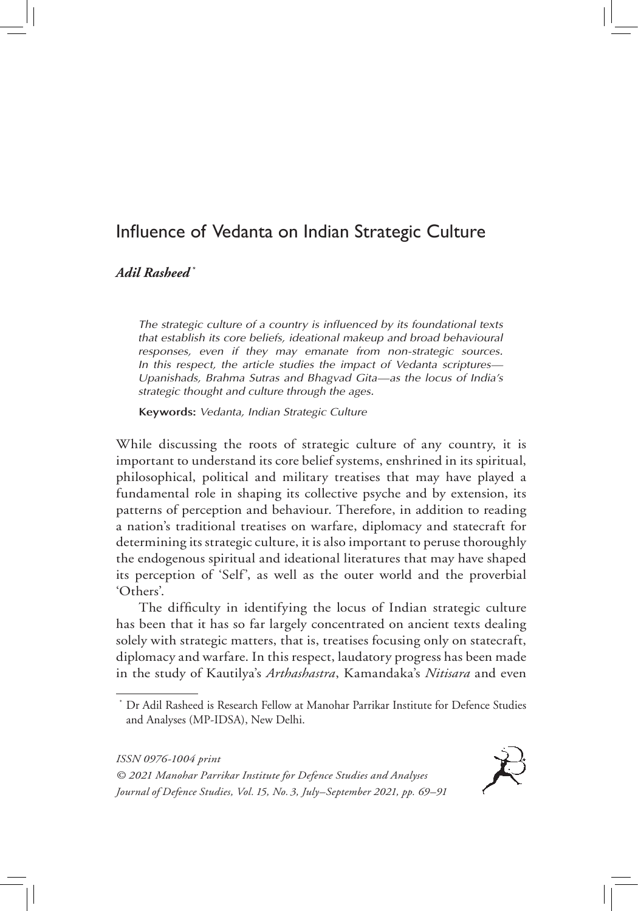# Influence of Vedanta on Indian Strategic Culture

*Adil Rasheed \**

*The strategic culture of a country is influenced by its foundational texts that establish its core beliefs, ideational makeup and broad behavioural responses, even if they may emanate from non-strategic sources. In this respect, the article studies the impact of Vedanta scriptures— Upanishads, Brahma Sutras and Bhagvad Gita—as the locus of India's strategic thought and culture through the ages.*

**Keywords:** *Vedanta, Indian Strategic Culture*

While discussing the roots of strategic culture of any country, it is important to understand its core belief systems, enshrined in its spiritual, philosophical, political and military treatises that may have played a fundamental role in shaping its collective psyche and by extension, its patterns of perception and behaviour. Therefore, in addition to reading a nation's traditional treatises on warfare, diplomacy and statecraft for determining its strategic culture, it is also important to peruse thoroughly the endogenous spiritual and ideational literatures that may have shaped its perception of 'Self', as well as the outer world and the proverbial 'Others'.

The difficulty in identifying the locus of Indian strategic culture has been that it has so far largely concentrated on ancient texts dealing solely with strategic matters, that is, treatises focusing only on statecraft, diplomacy and warfare. In this respect, laudatory progress has been made in the study of Kautilya's *Arthashastra*, Kamandaka's *Nitisara* and even



<sup>\*</sup> Dr Adil Rasheed is Research Fellow at Manohar Parrikar Institute for Defence Studies and Analyses (MP-IDSA), New Delhi.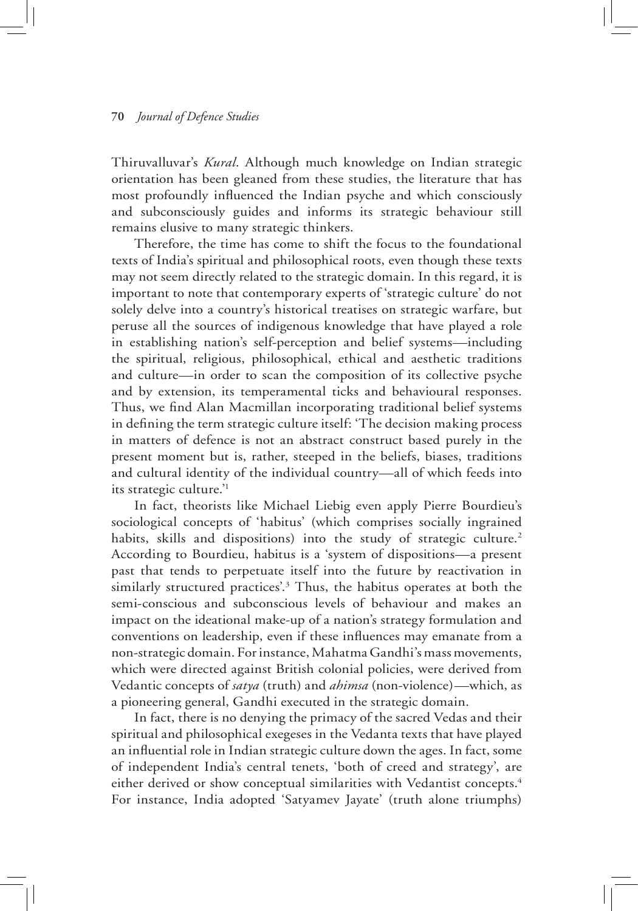Thiruvalluvar's *Kural*. Although much knowledge on Indian strategic orientation has been gleaned from these studies, the literature that has most profoundly influenced the Indian psyche and which consciously and subconsciously guides and informs its strategic behaviour still remains elusive to many strategic thinkers.

Therefore, the time has come to shift the focus to the foundational texts of India's spiritual and philosophical roots, even though these texts may not seem directly related to the strategic domain. In this regard, it is important to note that contemporary experts of 'strategic culture' do not solely delve into a country's historical treatises on strategic warfare, but peruse all the sources of indigenous knowledge that have played a role in establishing nation's self-perception and belief systems—including the spiritual, religious, philosophical, ethical and aesthetic traditions and culture—in order to scan the composition of its collective psyche and by extension, its temperamental ticks and behavioural responses. Thus, we find Alan Macmillan incorporating traditional belief systems in defining the term strategic culture itself: 'The decision making process in matters of defence is not an abstract construct based purely in the present moment but is, rather, steeped in the beliefs, biases, traditions and cultural identity of the individual country—all of which feeds into its strategic culture.'1

In fact, theorists like Michael Liebig even apply Pierre Bourdieu's sociological concepts of 'habitus' (which comprises socially ingrained habits, skills and dispositions) into the study of strategic culture.<sup>2</sup> According to Bourdieu, habitus is a 'system of dispositions—a present past that tends to perpetuate itself into the future by reactivation in similarly structured practices'.3 Thus, the habitus operates at both the semi-conscious and subconscious levels of behaviour and makes an impact on the ideational make-up of a nation's strategy formulation and conventions on leadership, even if these influences may emanate from a non-strategic domain. For instance, Mahatma Gandhi's mass movements, which were directed against British colonial policies, were derived from Vedantic concepts of *satya* (truth) and *ahimsa* (non-violence)—which, as a pioneering general, Gandhi executed in the strategic domain.

In fact, there is no denying the primacy of the sacred Vedas and their spiritual and philosophical exegeses in the Vedanta texts that have played an influential role in Indian strategic culture down the ages. In fact, some of independent India's central tenets, 'both of creed and strategy', are either derived or show conceptual similarities with Vedantist concepts.<sup>4</sup> For instance, India adopted 'Satyamev Jayate' (truth alone triumphs)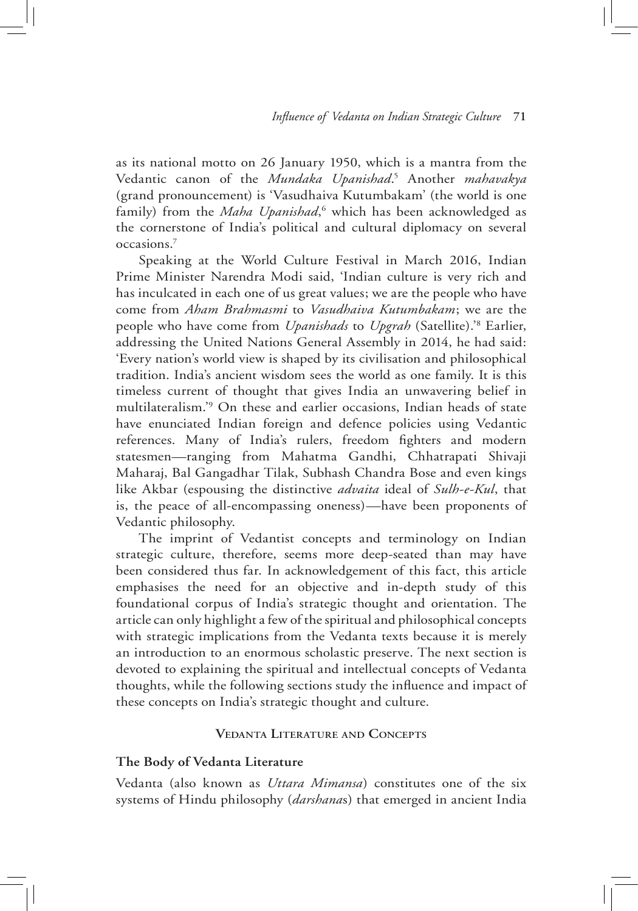as its national motto on 26 January 1950, which is a mantra from the Vedantic canon of the *Mundaka Upanishad*. 5 Another *mahavakya*  (grand pronouncement) is 'Vasudhaiva Kutumbakam' (the world is one family) from the Maha Upanishad,<sup>6</sup> which has been acknowledged as the cornerstone of India's political and cultural diplomacy on several occasions.7

Speaking at the World Culture Festival in March 2016, Indian Prime Minister Narendra Modi said, 'Indian culture is very rich and has inculcated in each one of us great values; we are the people who have come from *Aham Brahmasmi* to *Vasudhaiva Kutumbakam*; we are the people who have come from *Upanishads* to *Upgrah* (Satellite).'8 Earlier, addressing the United Nations General Assembly in 2014, he had said: 'Every nation's world view is shaped by its civilisation and philosophical tradition. India's ancient wisdom sees the world as one family. It is this timeless current of thought that gives India an unwavering belief in multilateralism.'9 On these and earlier occasions, Indian heads of state have enunciated Indian foreign and defence policies using Vedantic references. Many of India's rulers, freedom fighters and modern statesmen—ranging from Mahatma Gandhi, Chhatrapati Shivaji Maharaj, Bal Gangadhar Tilak, Subhash Chandra Bose and even kings like Akbar (espousing the distinctive *advaita* ideal of *Sulh-e-Kul*, that is, the peace of all-encompassing oneness)—have been proponents of Vedantic philosophy.

The imprint of Vedantist concepts and terminology on Indian strategic culture, therefore, seems more deep-seated than may have been considered thus far. In acknowledgement of this fact, this article emphasises the need for an objective and in-depth study of this foundational corpus of India's strategic thought and orientation. The article can only highlight a few of the spiritual and philosophical concepts with strategic implications from the Vedanta texts because it is merely an introduction to an enormous scholastic preserve. The next section is devoted to explaining the spiritual and intellectual concepts of Vedanta thoughts, while the following sections study the influence and impact of these concepts on India's strategic thought and culture.

#### **Vedanta Literature and Concepts**

#### **The Body of Vedanta Literature**

Vedanta (also known as *Uttara Mimansa*) constitutes one of the six systems of Hindu philosophy (*darshana*s) that emerged in ancient India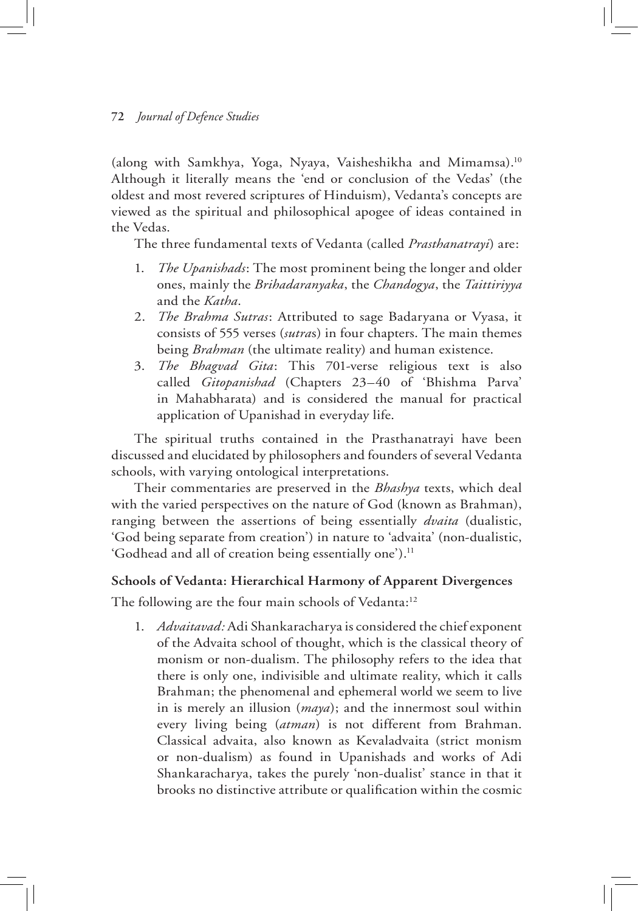(along with Samkhya, Yoga, Nyaya, Vaisheshikha and Mimamsa).10 Although it literally means the 'end or conclusion of the Vedas' (the oldest and most revered scriptures of Hinduism), Vedanta's concepts are viewed as the spiritual and philosophical apogee of ideas contained in the Vedas.

The three fundamental texts of Vedanta (called *Prasthanatrayi*) are:

- 1. *The Upanishads*: The most prominent being the longer and older ones, mainly the *Brihadaranyaka*, the *Chandogya*, the *Taittiriyya* and the *Katha*.
- 2. *The Brahma Sutras*: Attributed to sage Badaryana or Vyasa, it consists of 555 verses (*sutra*s) in four chapters. The main themes being *Brahman* (the ultimate reality) and human existence.
- 3. *The Bhagvad Gita*: This 701-verse religious text is also called *Gitopanishad* (Chapters 23–40 of 'Bhishma Parva' in Mahabharata) and is considered the manual for practical application of Upanishad in everyday life.

The spiritual truths contained in the Prasthanatrayi have been discussed and elucidated by philosophers and founders of several Vedanta schools, with varying ontological interpretations.

Their commentaries are preserved in the *Bhashya* texts, which deal with the varied perspectives on the nature of God (known as Brahman), ranging between the assertions of being essentially *dvaita* (dualistic, 'God being separate from creation') in nature to 'advaita' (non-dualistic, 'Godhead and all of creation being essentially one').<sup>11</sup>

# **Schools of Vedanta: Hierarchical Harmony of Apparent Divergences**

The following are the four main schools of Vedanta:<sup>12</sup>

1. *Advaitavad:* Adi Shankaracharya is considered the chief exponent of the Advaita school of thought, which is the classical theory of monism or non-dualism. The philosophy refers to the idea that there is only one, indivisible and ultimate reality, which it calls Brahman; the phenomenal and ephemeral world we seem to live in is merely an illusion (*maya*); and the innermost soul within every living being (*atman*) is not different from Brahman. Classical advaita, also known as Kevaladvaita (strict monism or non-dualism) as found in Upanishads and works of Adi Shankaracharya, takes the purely 'non-dualist' stance in that it brooks no distinctive attribute or qualification within the cosmic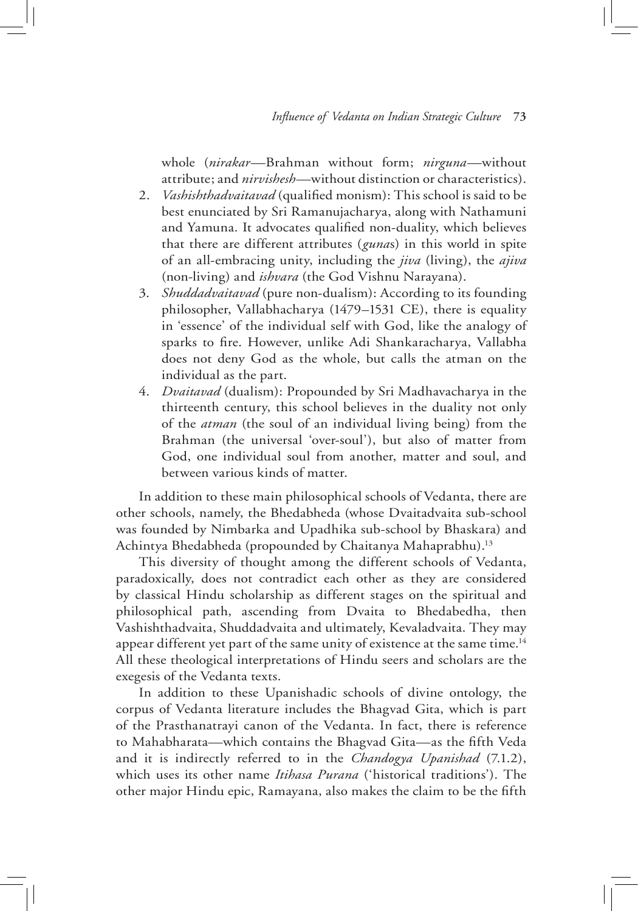whole (*nirakar*—Brahman without form; *nirguna*—without attribute; and *nirvishesh*—without distinction or characteristics).

- 2. *Vashishthadvaitavad* (qualified monism): This school is said to be best enunciated by Sri Ramanujacharya, along with Nathamuni and Yamuna. It advocates qualified non-duality, which believes that there are different attributes (*guna*s) in this world in spite of an all-embracing unity, including the *jiva* (living), the *ajiva* (non-living) and *ishvara* (the God Vishnu Narayana).
- 3. *Shuddadvaitavad* (pure non-dualism): According to its founding philosopher, Vallabhacharya (1479–1531 CE), there is equality in 'essence' of the individual self with God, like the analogy of sparks to fire. However, unlike Adi Shankaracharya, Vallabha does not deny God as the whole, but calls the atman on the individual as the part.
- 4. *Dvaitavad* (dualism): Propounded by Sri Madhavacharya in the thirteenth century, this school believes in the duality not only of the *atman* (the soul of an individual living being) from the Brahman (the universal 'over-soul'), but also of matter from God, one individual soul from another, matter and soul, and between various kinds of matter.

In addition to these main philosophical schools of Vedanta, there are other schools, namely, the Bhedabheda (whose Dvaitadvaita sub-school was founded by Nimbarka and Upadhika sub-school by Bhaskara) and Achintya Bhedabheda (propounded by Chaitanya Mahaprabhu).13

This diversity of thought among the different schools of Vedanta, paradoxically, does not contradict each other as they are considered by classical Hindu scholarship as different stages on the spiritual and philosophical path, ascending from Dvaita to Bhedabedha, then Vashishthadvaita, Shuddadvaita and ultimately, Kevaladvaita. They may appear different yet part of the same unity of existence at the same time.<sup>14</sup> All these theological interpretations of Hindu seers and scholars are the exegesis of the Vedanta texts.

In addition to these Upanishadic schools of divine ontology, the corpus of Vedanta literature includes the Bhagvad Gita, which is part of the Prasthanatrayi canon of the Vedanta. In fact, there is reference to Mahabharata—which contains the Bhagvad Gita—as the fifth Veda and it is indirectly referred to in the *Chandogya Upanishad* (7.1.2), which uses its other name *Itihasa Purana* ('historical traditions'). The other major Hindu epic, Ramayana, also makes the claim to be the fifth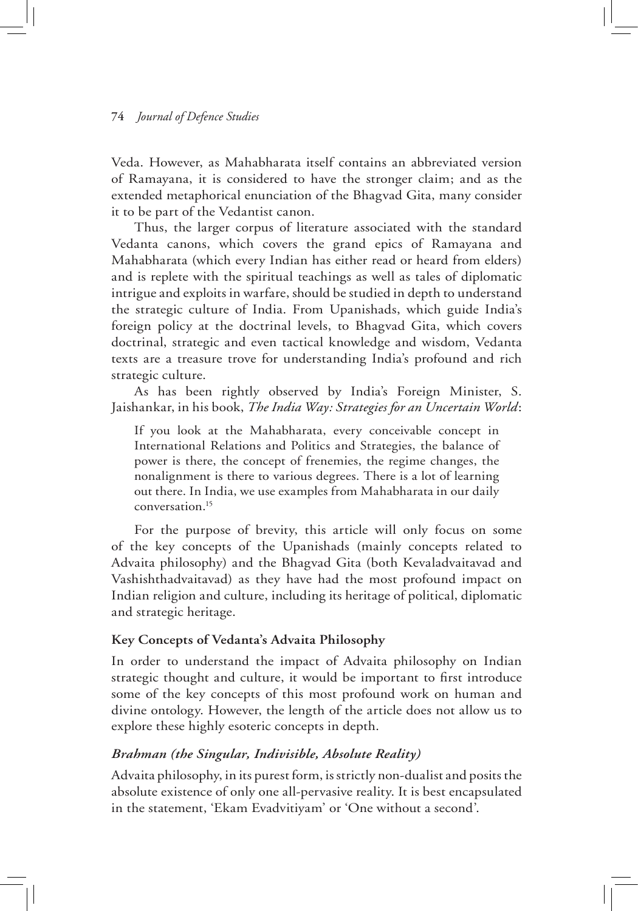Veda. However, as Mahabharata itself contains an abbreviated version of Ramayana, it is considered to have the stronger claim; and as the extended metaphorical enunciation of the Bhagvad Gita, many consider it to be part of the Vedantist canon.

Thus, the larger corpus of literature associated with the standard Vedanta canons, which covers the grand epics of Ramayana and Mahabharata (which every Indian has either read or heard from elders) and is replete with the spiritual teachings as well as tales of diplomatic intrigue and exploits in warfare, should be studied in depth to understand the strategic culture of India. From Upanishads, which guide India's foreign policy at the doctrinal levels, to Bhagvad Gita, which covers doctrinal, strategic and even tactical knowledge and wisdom, Vedanta texts are a treasure trove for understanding India's profound and rich strategic culture.

As has been rightly observed by India's Foreign Minister, S. Jaishankar, in his book, *The India Way: Strategies for an Uncertain World*:

If you look at the Mahabharata, every conceivable concept in International Relations and Politics and Strategies, the balance of power is there, the concept of frenemies, the regime changes, the nonalignment is there to various degrees. There is a lot of learning out there. In India, we use examples from Mahabharata in our daily conversation.15

For the purpose of brevity, this article will only focus on some of the key concepts of the Upanishads (mainly concepts related to Advaita philosophy) and the Bhagvad Gita (both Kevaladvaitavad and Vashishthadvaitavad) as they have had the most profound impact on Indian religion and culture, including its heritage of political, diplomatic and strategic heritage.

# **Key Concepts of Vedanta's Advaita Philosophy**

In order to understand the impact of Advaita philosophy on Indian strategic thought and culture, it would be important to first introduce some of the key concepts of this most profound work on human and divine ontology. However, the length of the article does not allow us to explore these highly esoteric concepts in depth.

# *Brahman (the Singular, Indivisible, Absolute Reality)*

Advaita philosophy, in its purest form, is strictly non-dualist and posits the absolute existence of only one all-pervasive reality. It is best encapsulated in the statement, 'Ekam Evadvitiyam' or 'One without a second'.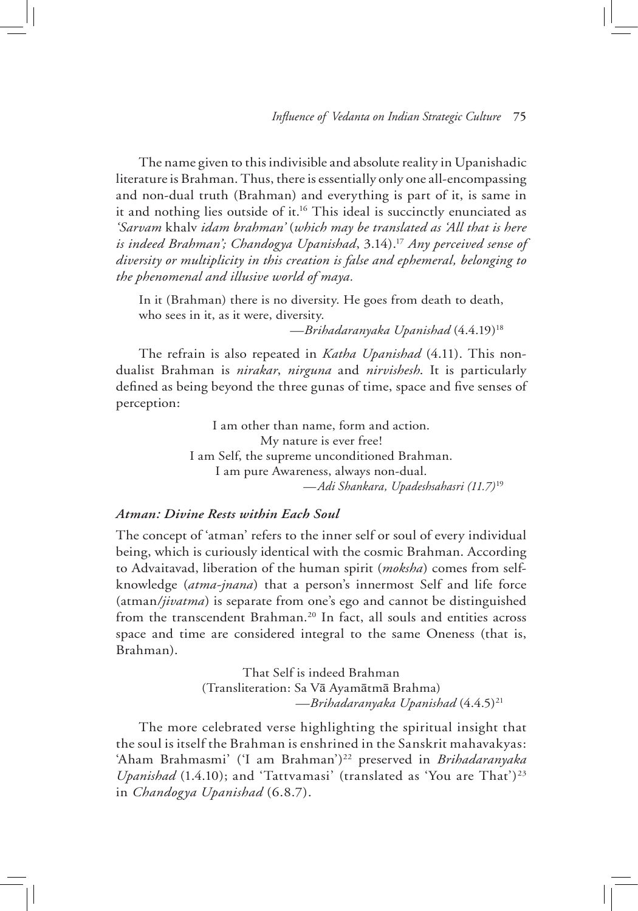The name given to this indivisible and absolute reality in Upanishadic literature is Brahman. Thus, there is essentially only one all-encompassing and non-dual truth (Brahman) and everything is part of it, is same in it and nothing lies outside of it.<sup>16</sup> This ideal is succinctly enunciated as *'Sarvam* khalv *idam brahman'* (*which may be translated as 'All that is here is indeed Brahman'; Chandogya Upanishad*, 3.14).17 *Any perceived sense of diversity or multiplicity in this creation is false and ephemeral, belonging to the phenomenal and illusive world of maya.* 

In it (Brahman) there is no diversity. He goes from death to death, who sees in it, as it were, diversity.

—*Brihadaranyaka Upanishad* (4.4.19)18

The refrain is also repeated in *Katha Upanishad* (4.11). This nondualist Brahman is *nirakar*, *nirguna* and *nirvishesh*. It is particularly defined as being beyond the three gunas of time, space and five senses of perception:

> I am other than name, form and action. My nature is ever free! I am Self, the supreme unconditioned Brahman. I am pure Awareness, always non-dual. *—Adi Shankara, Upadeshsahasri (11.7)*<sup>19</sup>

# *Atman: Divine Rests within Each Soul*

The concept of 'atman' refers to the inner self or soul of every individual being, which is curiously identical with the cosmic Brahman. According to Advaitavad, liberation of the human spirit (*moksha*) comes from selfknowledge (*atma-jnana*) that a person's innermost Self and life force (atman*/jivatma*) is separate from one's ego and cannot be distinguished from the transcendent Brahman.<sup>20</sup> In fact, all souls and entities across space and time are considered integral to the same Oneness (that is, Brahman).

> That Self is indeed Brahman (Transliteration: Sa Vā Ayamātmā Brahma) *—Brihadaranyaka Upanishad* (4.4.5)21

The more celebrated verse highlighting the spiritual insight that the soul is itself the Brahman is enshrined in the Sanskrit mahavakyas: 'Aham Brahmasmi' ('I am Brahman')<sup>22</sup> preserved in *Brihadaranyaka Upanishad* (1.4.10); and 'Tattvamasi' (translated as 'You are That')<sup>23</sup> in *Chandogya Upanishad* (6.8.7).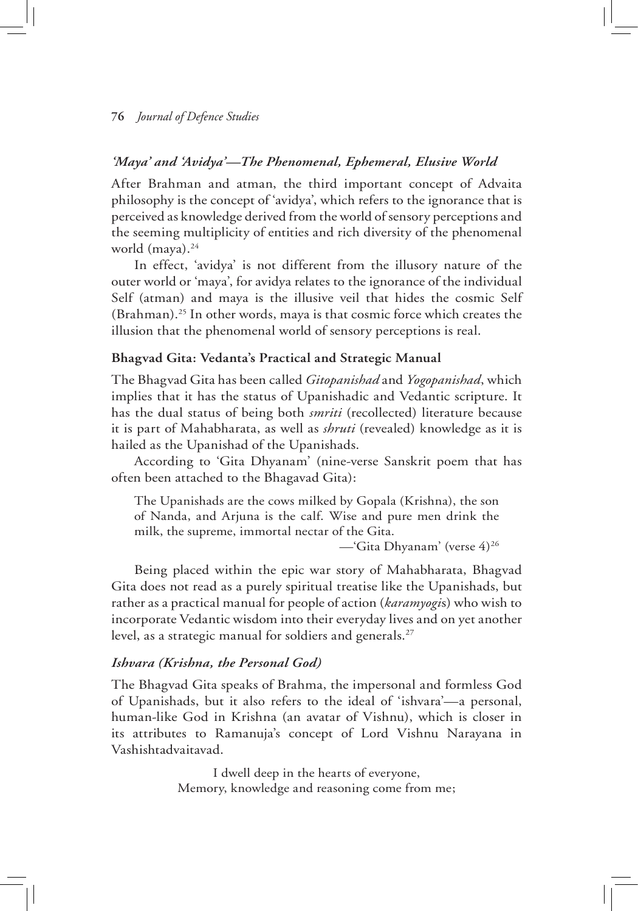# *'Maya' and 'Avidya'—The Phenomenal, Ephemeral, Elusive World*

After Brahman and atman, the third important concept of Advaita philosophy is the concept of 'avidya', which refers to the ignorance that is perceived as knowledge derived from the world of sensory perceptions and the seeming multiplicity of entities and rich diversity of the phenomenal world (maya).<sup>24</sup>

In effect, 'avidya' is not different from the illusory nature of the outer world or 'maya', for avidya relates to the ignorance of the individual Self (atman) and maya is the illusive veil that hides the cosmic Self (Brahman).25 In other words, maya is that cosmic force which creates the illusion that the phenomenal world of sensory perceptions is real.

## **Bhagvad Gita: Vedanta's Practical and Strategic Manual**

The Bhagvad Gita has been called *Gitopanishad* and *Yogopanishad*, which implies that it has the status of Upanishadic and Vedantic scripture. It has the dual status of being both *smriti* (recollected) literature because it is part of Mahabharata, as well as *shruti* (revealed) knowledge as it is hailed as the Upanishad of the Upanishads.

According to 'Gita Dhyanam' (nine-verse Sanskrit poem that has often been attached to the Bhagavad Gita):

The Upanishads are the cows milked by Gopala (Krishna), the son of Nanda, and Arjuna is the calf. Wise and pure men drink the milk, the supreme, immortal nectar of the Gita.

—'Gita Dhyanam' (verse 4)26

Being placed within the epic war story of Mahabharata, Bhagvad Gita does not read as a purely spiritual treatise like the Upanishads, but rather as a practical manual for people of action (*karamyogi*s) who wish to incorporate Vedantic wisdom into their everyday lives and on yet another level, as a strategic manual for soldiers and generals.<sup>27</sup>

#### *Ishvara (Krishna, the Personal God)*

The Bhagvad Gita speaks of Brahma, the impersonal and formless God of Upanishads, but it also refers to the ideal of 'ishvara'—a personal, human-like God in Krishna (an avatar of Vishnu), which is closer in its attributes to Ramanuja's concept of Lord Vishnu Narayana in Vashishtadvaitavad.

> I dwell deep in the hearts of everyone, Memory, knowledge and reasoning come from me;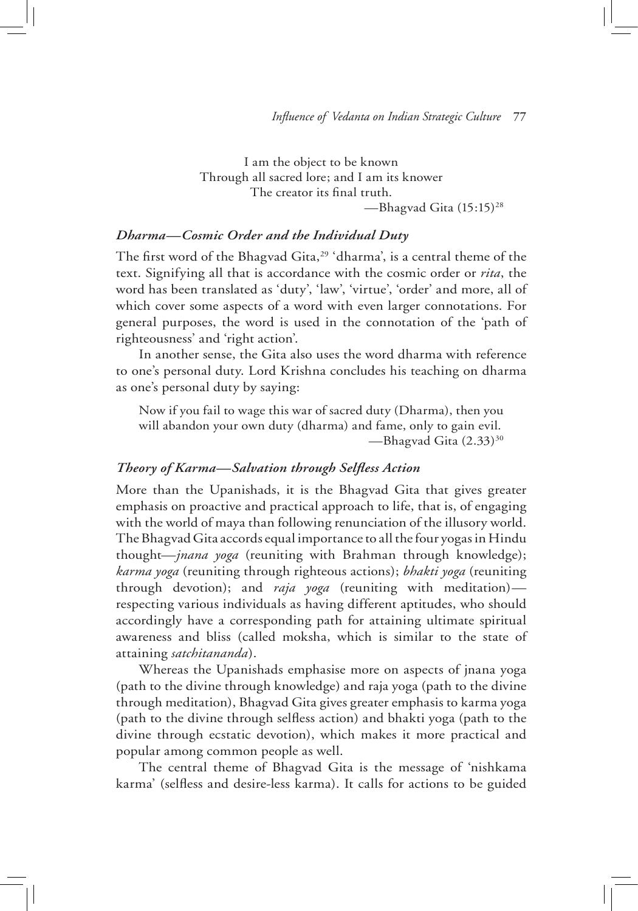I am the object to be known Through all sacred lore; and I am its knower The creator its final truth. —Bhagvad Gita (15:15)28

## *Dharma—Cosmic Order and the Individual Duty*

The first word of the Bhagvad Gita,<sup>29</sup> 'dharma', is a central theme of the text. Signifying all that is accordance with the cosmic order or *rita*, the word has been translated as 'duty', 'law', 'virtue', 'order' and more, all of which cover some aspects of a word with even larger connotations. For general purposes, the word is used in the connotation of the 'path of righteousness' and 'right action'.

In another sense, the Gita also uses the word dharma with reference to one's personal duty. Lord Krishna concludes his teaching on dharma as one's personal duty by saying:

Now if you fail to wage this war of sacred duty (Dharma), then you will abandon your own duty (dharma) and fame, only to gain evil. -Bhagvad Gita (2.33)<sup>30</sup>

# *Theory of Karma—Salvation through Selfless Action*

More than the Upanishads, it is the Bhagvad Gita that gives greater emphasis on proactive and practical approach to life, that is, of engaging with the world of maya than following renunciation of the illusory world. The Bhagvad Gita accords equal importance to all the four yogas in Hindu thought—*jnana yoga* (reuniting with Brahman through knowledge); *karma yoga* (reuniting through righteous actions); *bhakti yoga* (reuniting through devotion); and *raja yoga* (reuniting with meditation) respecting various individuals as having different aptitudes, who should accordingly have a corresponding path for attaining ultimate spiritual awareness and bliss (called moksha, which is similar to the state of attaining *satchitananda*).

Whereas the Upanishads emphasise more on aspects of jnana yoga (path to the divine through knowledge) and raja yoga (path to the divine through meditation), Bhagvad Gita gives greater emphasis to karma yoga (path to the divine through selfless action) and bhakti yoga (path to the divine through ecstatic devotion), which makes it more practical and popular among common people as well.

The central theme of Bhagvad Gita is the message of 'nishkama karma' (selfless and desire-less karma). It calls for actions to be guided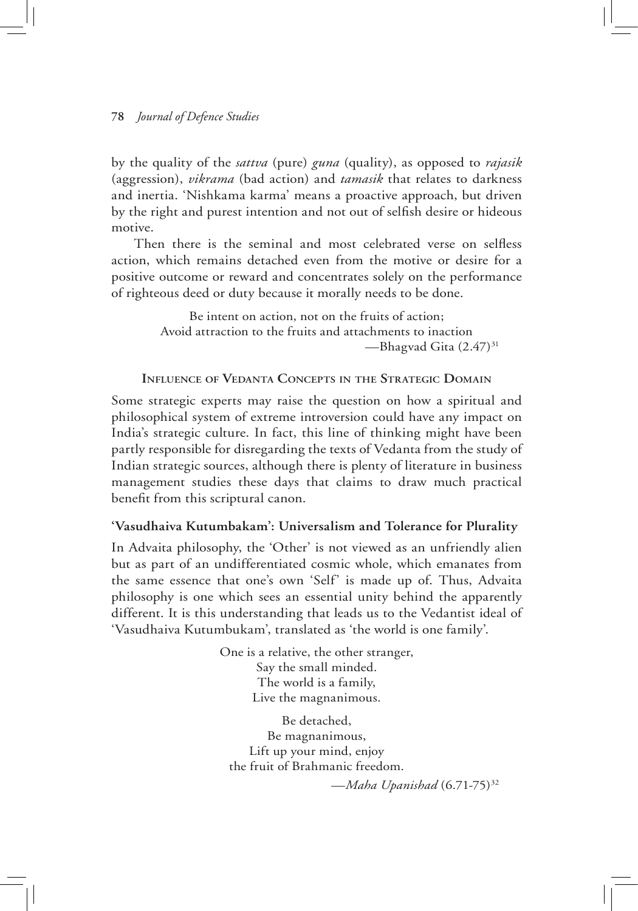by the quality of the *sattva* (pure) *guna* (quality), as opposed to *rajasik* (aggression), *vikrama* (bad action) and *tamasik* that relates to darkness and inertia. 'Nishkama karma' means a proactive approach, but driven by the right and purest intention and not out of selfish desire or hideous motive.

Then there is the seminal and most celebrated verse on selfless action, which remains detached even from the motive or desire for a positive outcome or reward and concentrates solely on the performance of righteous deed or duty because it morally needs to be done.

> Be intent on action, not on the fruits of action; Avoid attraction to the fruits and attachments to inaction —Bhagvad Gita (2.47)31

#### **Influence of Vedanta Concepts in the Strategic Domain**

Some strategic experts may raise the question on how a spiritual and philosophical system of extreme introversion could have any impact on India's strategic culture. In fact, this line of thinking might have been partly responsible for disregarding the texts of Vedanta from the study of Indian strategic sources, although there is plenty of literature in business management studies these days that claims to draw much practical benefit from this scriptural canon.

#### **'Vasudhaiva Kutumbakam': Universalism and Tolerance for Plurality**

In Advaita philosophy, the 'Other' is not viewed as an unfriendly alien but as part of an undifferentiated cosmic whole, which emanates from the same essence that one's own 'Self' is made up of. Thus, Advaita philosophy is one which sees an essential unity behind the apparently different. It is this understanding that leads us to the Vedantist ideal of 'Vasudhaiva Kutumbukam', translated as 'the world is one family'.

> One is a relative, the other stranger, Say the small minded. The world is a family, Live the magnanimous.

Be detached, Be magnanimous, Lift up your mind, enjoy the fruit of Brahmanic freedom.

—*Maha Upanishad* (6.71-75)32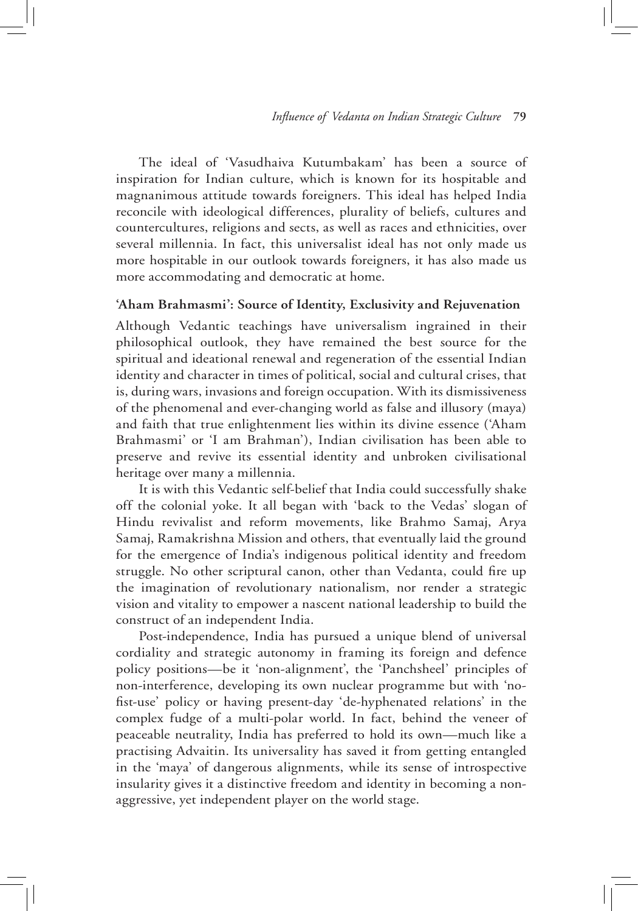The ideal of 'Vasudhaiva Kutumbakam' has been a source of inspiration for Indian culture, which is known for its hospitable and magnanimous attitude towards foreigners. This ideal has helped India reconcile with ideological differences, plurality of beliefs, cultures and countercultures, religions and sects, as well as races and ethnicities, over several millennia. In fact, this universalist ideal has not only made us more hospitable in our outlook towards foreigners, it has also made us more accommodating and democratic at home.

#### **'Aham Brahmasmi': Source of Identity, Exclusivity and Rejuvenation**

Although Vedantic teachings have universalism ingrained in their philosophical outlook, they have remained the best source for the spiritual and ideational renewal and regeneration of the essential Indian identity and character in times of political, social and cultural crises, that is, during wars, invasions and foreign occupation. With its dismissiveness of the phenomenal and ever-changing world as false and illusory (maya) and faith that true enlightenment lies within its divine essence ('Aham Brahmasmi' or 'I am Brahman'), Indian civilisation has been able to preserve and revive its essential identity and unbroken civilisational heritage over many a millennia.

It is with this Vedantic self-belief that India could successfully shake off the colonial yoke. It all began with 'back to the Vedas' slogan of Hindu revivalist and reform movements, like Brahmo Samaj, Arya Samaj, Ramakrishna Mission and others, that eventually laid the ground for the emergence of India's indigenous political identity and freedom struggle. No other scriptural canon, other than Vedanta, could fire up the imagination of revolutionary nationalism, nor render a strategic vision and vitality to empower a nascent national leadership to build the construct of an independent India.

Post-independence, India has pursued a unique blend of universal cordiality and strategic autonomy in framing its foreign and defence policy positions—be it 'non-alignment', the 'Panchsheel' principles of non-interference, developing its own nuclear programme but with 'nofist-use' policy or having present-day 'de-hyphenated relations' in the complex fudge of a multi-polar world. In fact, behind the veneer of peaceable neutrality, India has preferred to hold its own—much like a practising Advaitin. Its universality has saved it from getting entangled in the 'maya' of dangerous alignments, while its sense of introspective insularity gives it a distinctive freedom and identity in becoming a nonaggressive, yet independent player on the world stage.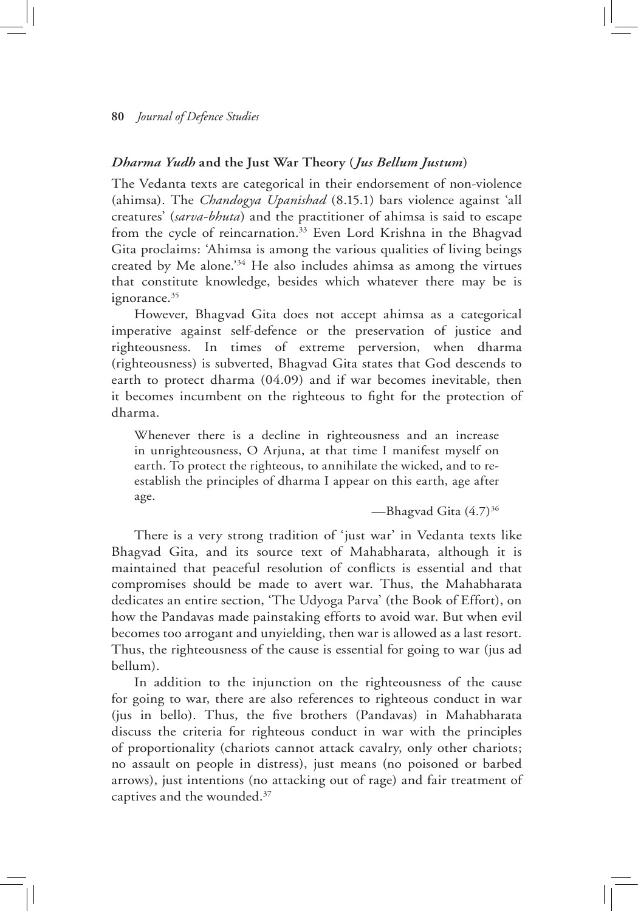# *Dharma Yudh* **and the Just War Theory (***Jus Bellum Justum***)**

The Vedanta texts are categorical in their endorsement of non-violence (ahimsa). The *Chandogya Upanishad* (8.15.1) bars violence against 'all creatures' (*sarva-bhuta*) and the practitioner of ahimsa is said to escape from the cycle of reincarnation.<sup>33</sup> Even Lord Krishna in the Bhagvad Gita proclaims: 'Ahimsa is among the various qualities of living beings created by Me alone.'34 He also includes ahimsa as among the virtues that constitute knowledge, besides which whatever there may be is ignorance.<sup>35</sup>

However, Bhagvad Gita does not accept ahimsa as a categorical imperative against self-defence or the preservation of justice and righteousness. In times of extreme perversion, when dharma (righteousness) is subverted, Bhagvad Gita states that God descends to earth to protect dharma (04.09) and if war becomes inevitable, then it becomes incumbent on the righteous to fight for the protection of dharma.

Whenever there is a decline in righteousness and an increase in unrighteousness, O Arjuna, at that time I manifest myself on earth. To protect the righteous, to annihilate the wicked, and to reestablish the principles of dharma I appear on this earth, age after age.

—Bhagvad Gita (4.7)36

There is a very strong tradition of 'just war' in Vedanta texts like Bhagvad Gita, and its source text of Mahabharata, although it is maintained that peaceful resolution of conflicts is essential and that compromises should be made to avert war. Thus, the Mahabharata dedicates an entire section, 'The Udyoga Parva' (the Book of Effort), on how the Pandavas made painstaking efforts to avoid war. But when evil becomes too arrogant and unyielding, then war is allowed as a last resort. Thus, the righteousness of the cause is essential for going to war (jus ad bellum).

In addition to the injunction on the righteousness of the cause for going to war, there are also references to righteous conduct in war (jus in bello). Thus, the five brothers (Pandavas) in Mahabharata discuss the criteria for righteous conduct in war with the principles of proportionality (chariots cannot attack cavalry, only other chariots; no assault on people in distress), just means (no poisoned or barbed arrows), just intentions (no attacking out of rage) and fair treatment of captives and the wounded.37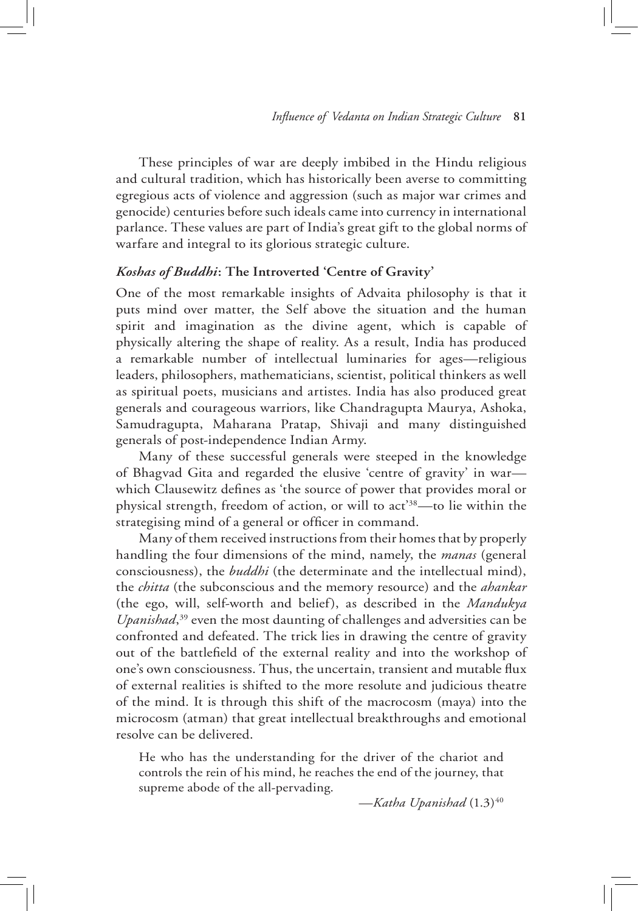These principles of war are deeply imbibed in the Hindu religious and cultural tradition, which has historically been averse to committing egregious acts of violence and aggression (such as major war crimes and genocide) centuries before such ideals came into currency in international parlance. These values are part of India's great gift to the global norms of warfare and integral to its glorious strategic culture.

# *Koshas of Buddhi***: The Introverted 'Centre of Gravity'**

One of the most remarkable insights of Advaita philosophy is that it puts mind over matter, the Self above the situation and the human spirit and imagination as the divine agent, which is capable of physically altering the shape of reality. As a result, India has produced a remarkable number of intellectual luminaries for ages—religious leaders, philosophers, mathematicians, scientist, political thinkers as well as spiritual poets, musicians and artistes. India has also produced great generals and courageous warriors, like Chandragupta Maurya, Ashoka, Samudragupta, Maharana Pratap, Shivaji and many distinguished generals of post-independence Indian Army.

Many of these successful generals were steeped in the knowledge of Bhagvad Gita and regarded the elusive 'centre of gravity' in war which Clausewitz defines as 'the source of power that provides moral or physical strength, freedom of action, or will to act'38—to lie within the strategising mind of a general or officer in command.

Many of them received instructions from their homes that by properly handling the four dimensions of the mind, namely, the *manas* (general consciousness), the *buddhi* (the determinate and the intellectual mind), the *chitta* (the subconscious and the memory resource) and the *ahankar* (the ego, will, self-worth and belief), as described in the *Mandukya Upanishad*, 39 even the most daunting of challenges and adversities can be confronted and defeated. The trick lies in drawing the centre of gravity out of the battlefield of the external reality and into the workshop of one's own consciousness. Thus, the uncertain, transient and mutable flux of external realities is shifted to the more resolute and judicious theatre of the mind. It is through this shift of the macrocosm (maya) into the microcosm (atman) that great intellectual breakthroughs and emotional resolve can be delivered.

He who has the understanding for the driver of the chariot and controls the rein of his mind, he reaches the end of the journey, that supreme abode of the all-pervading.

—*Katha Upanishad* (1.3)40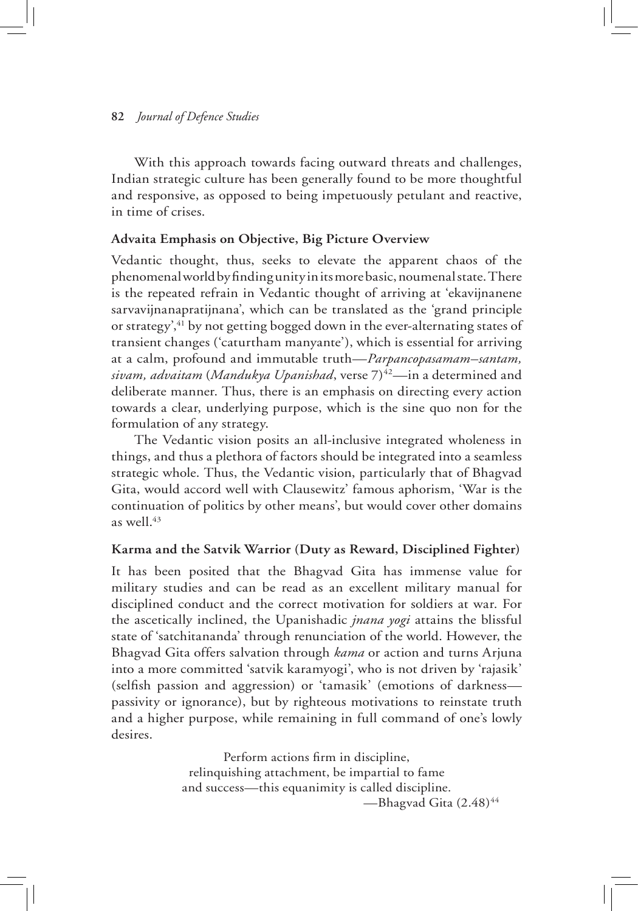With this approach towards facing outward threats and challenges, Indian strategic culture has been generally found to be more thoughtful and responsive, as opposed to being impetuously petulant and reactive, in time of crises.

# **Advaita Emphasis on Objective, Big Picture Overview**

Vedantic thought, thus, seeks to elevate the apparent chaos of the phenomenal world by finding unity in its more basic, noumenal state. There is the repeated refrain in Vedantic thought of arriving at 'ekavijnanene sarvavijnanapratijnana', which can be translated as the 'grand principle or strategy',<sup>41</sup> by not getting bogged down in the ever-alternating states of transient changes ('caturtham manyante'), which is essential for arriving at a calm, profound and immutable truth—*Parpancopasamam–santam, sivam, advaitam* (*Mandukya Upanishad*, verse 7)42—in a determined and deliberate manner. Thus, there is an emphasis on directing every action towards a clear, underlying purpose, which is the sine quo non for the formulation of any strategy.

The Vedantic vision posits an all-inclusive integrated wholeness in things, and thus a plethora of factors should be integrated into a seamless strategic whole. Thus, the Vedantic vision, particularly that of Bhagvad Gita, would accord well with Clausewitz' famous aphorism, 'War is the continuation of politics by other means', but would cover other domains as well. $43$ 

# **Karma and the Satvik Warrior (Duty as Reward, Disciplined Fighter)**

It has been posited that the Bhagvad Gita has immense value for military studies and can be read as an excellent military manual for disciplined conduct and the correct motivation for soldiers at war. For the ascetically inclined, the Upanishadic *jnana yogi* attains the blissful state of 'satchitananda' through renunciation of the world. However, the Bhagvad Gita offers salvation through *kama* or action and turns Arjuna into a more committed 'satvik karamyogi', who is not driven by 'rajasik' (selfish passion and aggression) or 'tamasik' (emotions of darkness passivity or ignorance), but by righteous motivations to reinstate truth and a higher purpose, while remaining in full command of one's lowly desires.

> Perform actions firm in discipline, relinquishing attachment, be impartial to fame and success—this equanimity is called discipline. —Bhagvad Gita (2.48)<sup>44</sup>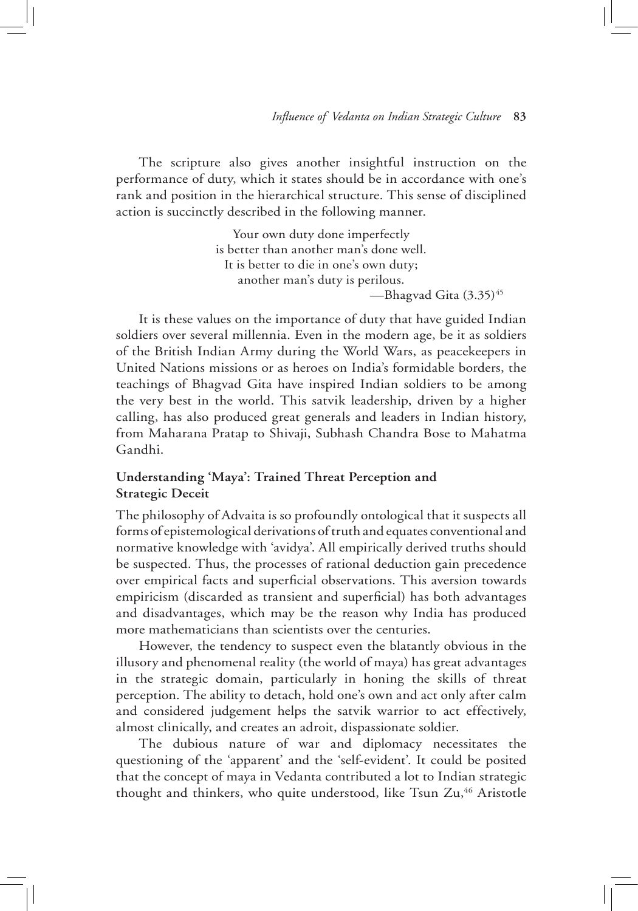The scripture also gives another insightful instruction on the performance of duty, which it states should be in accordance with one's rank and position in the hierarchical structure. This sense of disciplined action is succinctly described in the following manner.

> Your own duty done imperfectly is better than another man's done well. It is better to die in one's own duty; another man's duty is perilous. —Bhagvad Gita (3.35)<sup>45</sup>

It is these values on the importance of duty that have guided Indian soldiers over several millennia. Even in the modern age, be it as soldiers of the British Indian Army during the World Wars, as peacekeepers in United Nations missions or as heroes on India's formidable borders, the teachings of Bhagvad Gita have inspired Indian soldiers to be among the very best in the world. This satvik leadership, driven by a higher calling, has also produced great generals and leaders in Indian history, from Maharana Pratap to Shivaji, Subhash Chandra Bose to Mahatma Gandhi.

# **Understanding 'Maya': Trained Threat Perception and Strategic Deceit**

The philosophy of Advaita is so profoundly ontological that it suspects all forms of epistemological derivations of truth and equates conventional and normative knowledge with 'avidya'. All empirically derived truths should be suspected. Thus, the processes of rational deduction gain precedence over empirical facts and superficial observations. This aversion towards empiricism (discarded as transient and superficial) has both advantages and disadvantages, which may be the reason why India has produced more mathematicians than scientists over the centuries.

However, the tendency to suspect even the blatantly obvious in the illusory and phenomenal reality (the world of maya) has great advantages in the strategic domain, particularly in honing the skills of threat perception. The ability to detach, hold one's own and act only after calm and considered judgement helps the satvik warrior to act effectively, almost clinically, and creates an adroit, dispassionate soldier.

The dubious nature of war and diplomacy necessitates the questioning of the 'apparent' and the 'self-evident'. It could be posited that the concept of maya in Vedanta contributed a lot to Indian strategic thought and thinkers, who quite understood, like Tsun Zu,<sup>46</sup> Aristotle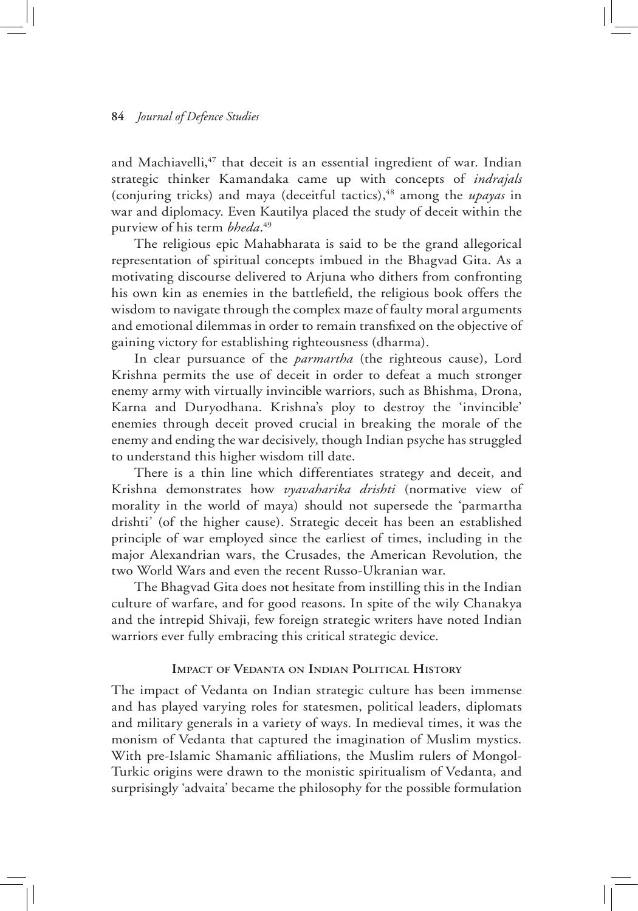and Machiavelli, $47$  that deceit is an essential ingredient of war. Indian strategic thinker Kamandaka came up with concepts of *indrajals* (conjuring tricks) and maya (deceitful tactics),<sup>48</sup> among the *upayas* in war and diplomacy. Even Kautilya placed the study of deceit within the purview of his term *bheda*. 49

The religious epic Mahabharata is said to be the grand allegorical representation of spiritual concepts imbued in the Bhagvad Gita. As a motivating discourse delivered to Arjuna who dithers from confronting his own kin as enemies in the battlefield, the religious book offers the wisdom to navigate through the complex maze of faulty moral arguments and emotional dilemmas in order to remain transfixed on the objective of gaining victory for establishing righteousness (dharma).

In clear pursuance of the *parmartha* (the righteous cause), Lord Krishna permits the use of deceit in order to defeat a much stronger enemy army with virtually invincible warriors, such as Bhishma, Drona, Karna and Duryodhana. Krishna's ploy to destroy the 'invincible' enemies through deceit proved crucial in breaking the morale of the enemy and ending the war decisively, though Indian psyche has struggled to understand this higher wisdom till date.

There is a thin line which differentiates strategy and deceit, and Krishna demonstrates how *vyavaharika drishti* (normative view of morality in the world of maya) should not supersede the 'parmartha drishti' (of the higher cause). Strategic deceit has been an established principle of war employed since the earliest of times, including in the major Alexandrian wars, the Crusades, the American Revolution, the two World Wars and even the recent Russo-Ukranian war.

The Bhagvad Gita does not hesitate from instilling this in the Indian culture of warfare, and for good reasons. In spite of the wily Chanakya and the intrepid Shivaji, few foreign strategic writers have noted Indian warriors ever fully embracing this critical strategic device.

#### **Impact of Vedanta on Indian Political History**

The impact of Vedanta on Indian strategic culture has been immense and has played varying roles for statesmen, political leaders, diplomats and military generals in a variety of ways. In medieval times, it was the monism of Vedanta that captured the imagination of Muslim mystics. With pre-Islamic Shamanic affiliations, the Muslim rulers of Mongol-Turkic origins were drawn to the monistic spiritualism of Vedanta, and surprisingly 'advaita' became the philosophy for the possible formulation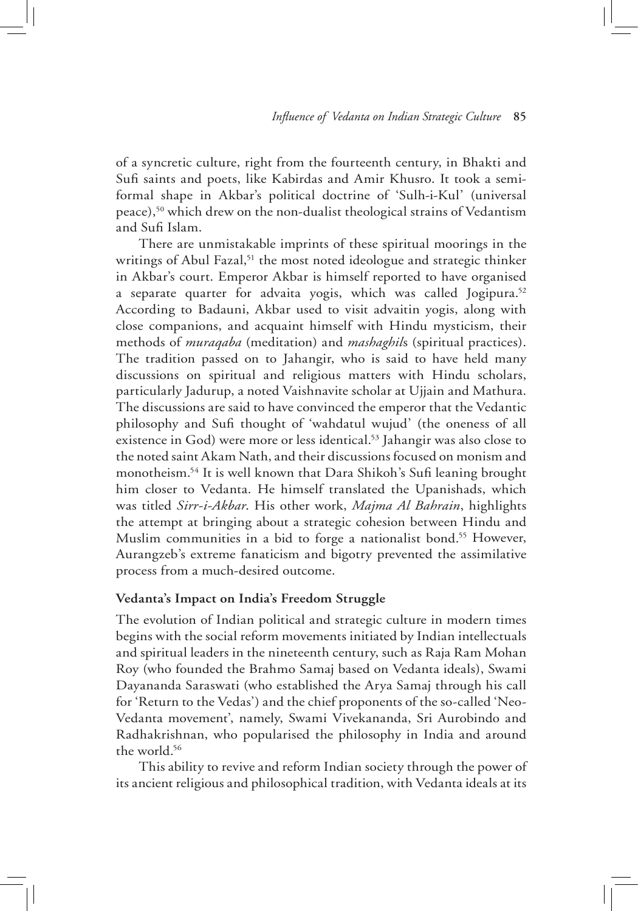of a syncretic culture, right from the fourteenth century, in Bhakti and Sufi saints and poets, like Kabirdas and Amir Khusro. It took a semiformal shape in Akbar's political doctrine of 'Sulh-i-Kul' (universal peace),50 which drew on the non-dualist theological strains of Vedantism and Sufi Islam.

There are unmistakable imprints of these spiritual moorings in the writings of Abul Fazal,<sup>51</sup> the most noted ideologue and strategic thinker in Akbar's court. Emperor Akbar is himself reported to have organised a separate quarter for advaita yogis, which was called Jogipura.<sup>52</sup> According to Badauni, Akbar used to visit advaitin yogis, along with close companions, and acquaint himself with Hindu mysticism, their methods of *muraqaba* (meditation) and *mashaghil*s (spiritual practices). The tradition passed on to Jahangir, who is said to have held many discussions on spiritual and religious matters with Hindu scholars, particularly Jadurup, a noted Vaishnavite scholar at Ujjain and Mathura. The discussions are said to have convinced the emperor that the Vedantic philosophy and Sufi thought of 'wahdatul wujud' (the oneness of all existence in God) were more or less identical.<sup>53</sup> Jahangir was also close to the noted saint Akam Nath, and their discussions focused on monism and monotheism.54 It is well known that Dara Shikoh's Sufi leaning brought him closer to Vedanta. He himself translated the Upanishads, which was titled *Sirr-i-Akbar*. His other work, *Majma Al Bahrain*, highlights the attempt at bringing about a strategic cohesion between Hindu and Muslim communities in a bid to forge a nationalist bond.<sup>55</sup> However, Aurangzeb's extreme fanaticism and bigotry prevented the assimilative process from a much-desired outcome.

#### **Vedanta's Impact on India's Freedom Struggle**

The evolution of Indian political and strategic culture in modern times begins with the social reform movements initiated by Indian intellectuals and spiritual leaders in the nineteenth century, such as Raja Ram Mohan Roy (who founded the Brahmo Samaj based on Vedanta ideals), Swami Dayananda Saraswati (who established the Arya Samaj through his call for 'Return to the Vedas') and the chief proponents of the so-called 'Neo-Vedanta movement', namely, Swami Vivekananda, Sri Aurobindo and Radhakrishnan, who popularised the philosophy in India and around the world.<sup>56</sup>

This ability to revive and reform Indian society through the power of its ancient religious and philosophical tradition, with Vedanta ideals at its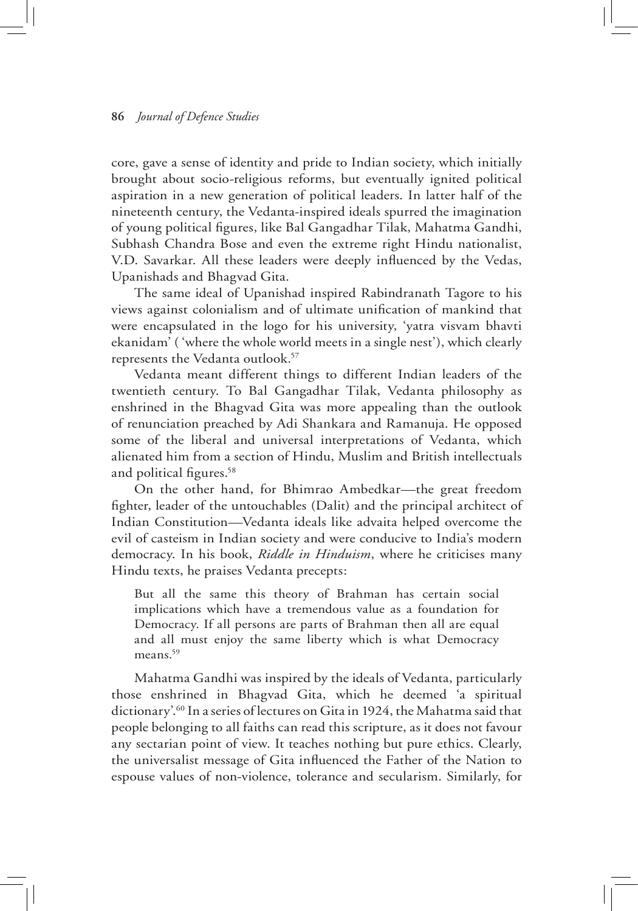core, gave a sense of identity and pride to Indian society, which initially brought about socio-religious reforms, but eventually ignited political aspiration in a new generation of political leaders. In latter half of the nineteenth century, the Vedanta-inspired ideals spurred the imagination of young political figures, like Bal Gangadhar Tilak, Mahatma Gandhi, Subhash Chandra Bose and even the extreme right Hindu nationalist, V.D. Savarkar. All these leaders were deeply influenced by the Vedas, Upanishads and Bhagvad Gita.

The same ideal of Upanishad inspired Rabindranath Tagore to his views against colonialism and of ultimate unification of mankind that were encapsulated in the logo for his university, 'yatra visvam bhavti ekanidam' ( 'where the whole world meets in a single nest'), which clearly represents the Vedanta outlook.<sup>57</sup>

Vedanta meant different things to different Indian leaders of the twentieth century. To Bal Gangadhar Tilak, Vedanta philosophy as enshrined in the Bhagvad Gita was more appealing than the outlook of renunciation preached by Adi Shankara and Ramanuja. He opposed some of the liberal and universal interpretations of Vedanta, which alienated him from a section of Hindu, Muslim and British intellectuals and political figures.58

On the other hand, for Bhimrao Ambedkar—the great freedom fighter, leader of the untouchables (Dalit) and the principal architect of Indian Constitution—Vedanta ideals like advaita helped overcome the evil of casteism in Indian society and were conducive to India's modern democracy. In his book, *Riddle in Hinduism*, where he criticises many Hindu texts, he praises Vedanta precepts:

But all the same this theory of Brahman has certain social implications which have a tremendous value as a foundation for Democracy. If all persons are parts of Brahman then all are equal and all must enjoy the same liberty which is what Democracy means.<sup>59</sup>

Mahatma Gandhi was inspired by the ideals of Vedanta, particularly those enshrined in Bhagvad Gita, which he deemed 'a spiritual dictionary'.60 In a series of lectures on Gita in 1924, the Mahatma said that people belonging to all faiths can read this scripture, as it does not favour any sectarian point of view. It teaches nothing but pure ethics. Clearly, the universalist message of Gita influenced the Father of the Nation to espouse values of non-violence, tolerance and secularism. Similarly, for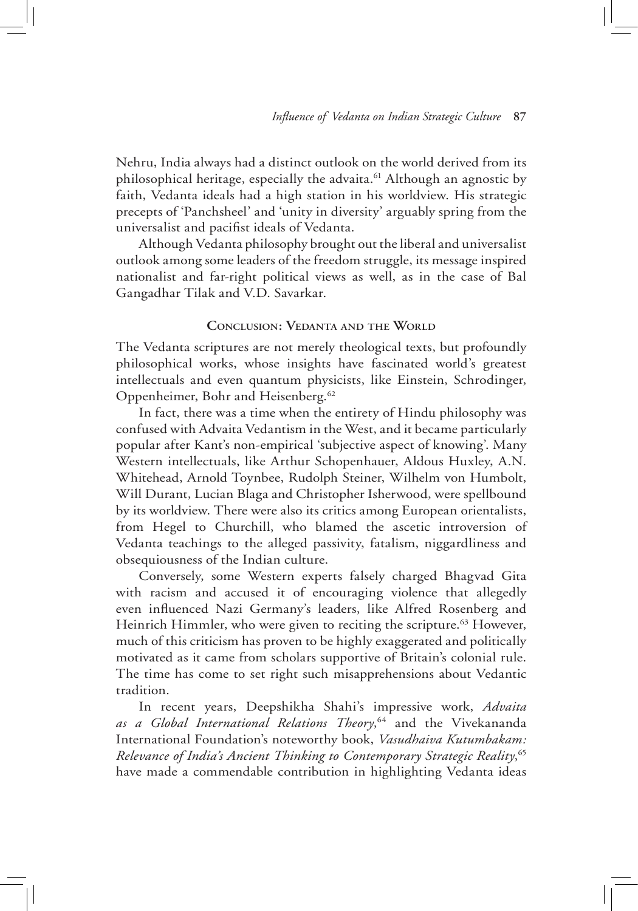Nehru, India always had a distinct outlook on the world derived from its philosophical heritage, especially the advaita.<sup>61</sup> Although an agnostic by faith, Vedanta ideals had a high station in his worldview. His strategic precepts of 'Panchsheel' and 'unity in diversity' arguably spring from the universalist and pacifist ideals of Vedanta.

Although Vedanta philosophy brought out the liberal and universalist outlook among some leaders of the freedom struggle, its message inspired nationalist and far-right political views as well, as in the case of Bal Gangadhar Tilak and V.D. Savarkar.

#### **Conclusion: Vedanta and the World**

The Vedanta scriptures are not merely theological texts, but profoundly philosophical works, whose insights have fascinated world's greatest intellectuals and even quantum physicists, like Einstein, Schrodinger, Oppenheimer, Bohr and Heisenberg.<sup>62</sup>

In fact, there was a time when the entirety of Hindu philosophy was confused with Advaita Vedantism in the West, and it became particularly popular after Kant's non-empirical 'subjective aspect of knowing'. Many Western intellectuals, like Arthur Schopenhauer, Aldous Huxley, A.N. Whitehead, Arnold Toynbee, Rudolph Steiner, Wilhelm von Humbolt, Will Durant, Lucian Blaga and Christopher Isherwood, were spellbound by its worldview. There were also its critics among European orientalists, from Hegel to Churchill, who blamed the ascetic introversion of Vedanta teachings to the alleged passivity, fatalism, niggardliness and obsequiousness of the Indian culture.

Conversely, some Western experts falsely charged Bhagvad Gita with racism and accused it of encouraging violence that allegedly even influenced Nazi Germany's leaders, like Alfred Rosenberg and Heinrich Himmler, who were given to reciting the scripture.<sup>63</sup> However, much of this criticism has proven to be highly exaggerated and politically motivated as it came from scholars supportive of Britain's colonial rule. The time has come to set right such misapprehensions about Vedantic tradition.

In recent years, Deepshikha Shahi's impressive work, *Advaita as a Global International Relations Theory*, 64 and the Vivekananda International Foundation's noteworthy book, *Vasudhaiva Kutumbakam: Relevance of India's Ancient Thinking to Contemporary Strategic Reality*, 65 have made a commendable contribution in highlighting Vedanta ideas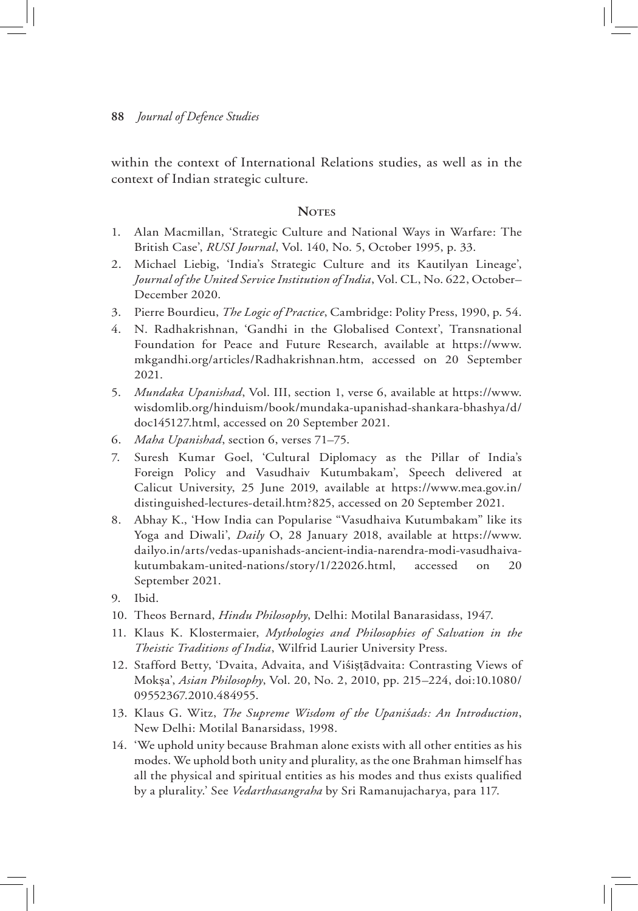within the context of International Relations studies, as well as in the context of Indian strategic culture.

## **Notes**

- 1. Alan Macmillan, 'Strategic Culture and National Ways in Warfare: The British Case', *RUSI Journal*, Vol. 140, No. 5, October 1995, p. 33.
- 2. Michael Liebig, 'India's Strategic Culture and its Kautilyan Lineage', *Journal of the United Service Institution of India*, Vol. CL, No. 622, October– December 2020.
- 3. Pierre Bourdieu, *The Logic of Practice*, Cambridge: Polity Press, 1990, p. 54.
- 4. N. Radhakrishnan, 'Gandhi in the Globalised Context', Transnational Foundation for Peace and Future Research, available at https://www. mkgandhi.org/articles/Radhakrishnan.htm, accessed on 20 September 2021.
- 5. *Mundaka Upanishad*, Vol. III, section 1, verse 6, available at https://www. wisdomlib.org/hinduism/book/mundaka-upanishad-shankara-bhashya/d/ doc145127.html, accessed on 20 September 2021.
- 6. *Maha Upanishad*, section 6, verses 71–75.
- 7. Suresh Kumar Goel, 'Cultural Diplomacy as the Pillar of India's Foreign Policy and Vasudhaiv Kutumbakam', Speech delivered at Calicut University, 25 June 2019, available at https://www.mea.gov.in/ distinguished-lectures-detail.htm?825, accessed on 20 September 2021.
- 8. Abhay K., 'How India can Popularise "Vasudhaiva Kutumbakam" like its Yoga and Diwali', *Daily* O, 28 January 2018, available at https://www. dailyo.in/arts/vedas-upanishads-ancient-india-narendra-modi-vasudhaivakutumbakam-united-nations/story/1/22026.html, accessed on 20 September 2021.
- 9. Ibid.
- 10. Theos Bernard, *Hindu Philosophy*, Delhi: Motilal Banarasidass, 1947.
- 11. Klaus K. Klostermaier, *Mythologies and Philosophies of Salvation in the Theistic Traditions of India*, Wilfrid Laurier University Press.
- 12. Stafford Betty, 'Dvaita, Advaita, and Viśistādvaita: Contrasting Views of Mokṣa', *Asian Philosophy*, Vol. 20, No. 2, 2010, pp. 215–224, doi:10.1080/ 09552367.2010.484955.
- 13. Klaus G. Witz, *The Supreme Wisdom of the Upaniśads: An Introduction*, New Delhi: Motilal Banarsidass, 1998.
- 14. 'We uphold unity because Brahman alone exists with all other entities as his modes. We uphold both unity and plurality, as the one Brahman himself has all the physical and spiritual entities as his modes and thus exists qualified by a plurality.' See *Vedarthasangraha* by Sri Ramanujacharya, para 117.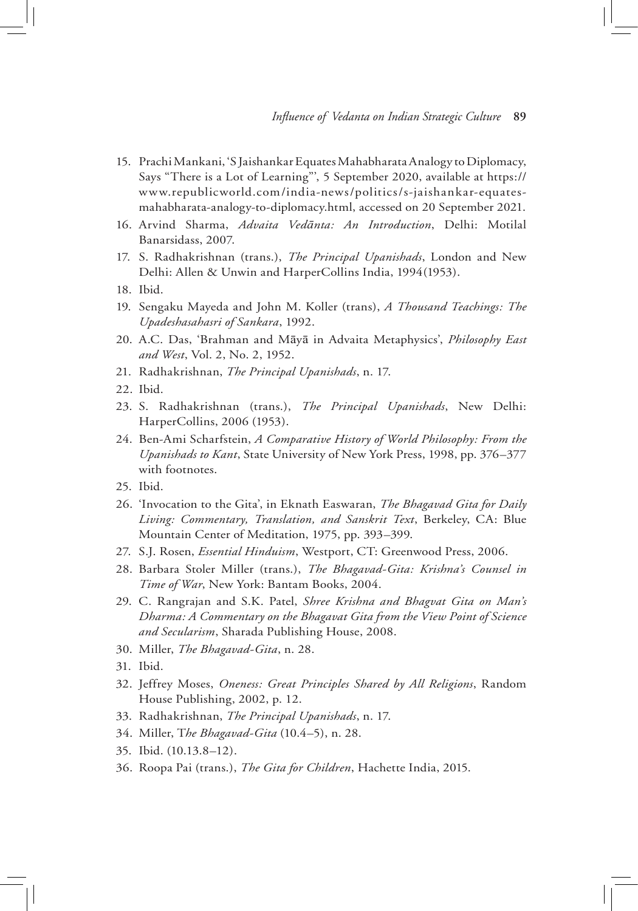- 15. Prachi Mankani, 'S Jaishankar Equates Mahabharata Analogy to Diplomacy, Says "There is a Lot of Learning"', 5 September 2020, available at https:// www.republicworld.com/india-news/politics/s-jaishankar-equatesmahabharata-analogy-to-diplomacy.html, accessed on 20 September 2021.
- 16. Arvind Sharma, *Advaita Vedānta: An Introduction*, Delhi: Motilal Banarsidass, 2007.
- 17. S. Radhakrishnan (trans.), *The Principal Upanishads*, London and New Delhi: Allen & Unwin and HarperCollins India, 1994(1953).
- 18. Ibid.
- 19. Sengaku Mayeda and John M. Koller (trans), *A Thousand Teachings: The Upadeshasahasri of Sankara*, 1992.
- 20. A.C. Das, 'Brahman and Māyā in Advaita Metaphysics', *Philosophy East and West*, Vol. 2, No. 2, 1952.
- 21. Radhakrishnan, *The Principal Upanishads*, n. 17.
- 22. Ibid.
- 23. S. Radhakrishnan (trans.), *The Principal Upanishads*, New Delhi: HarperCollins, 2006 (1953).
- 24. Ben-Ami Scharfstein, *A Comparative History of World Philosophy: From the Upanishads to Kant*, State University of New York Press, 1998, pp. 376–377 with footnotes.
- 25. Ibid.
- 26. 'Invocation to the Gita', in Eknath Easwaran, *The Bhagavad Gita for Daily Living: Commentary, Translation, and Sanskrit Text*, Berkeley, CA: Blue Mountain Center of Meditation, 1975, pp. 393–399.
- 27. S.J. Rosen, *Essential Hinduism*, Westport, CT: Greenwood Press, 2006.
- 28. Barbara Stoler Miller (trans.), *The Bhagavad-Gita: Krishna's Counsel in Time of War*, New York: Bantam Books, 2004.
- 29. C. Rangrajan and S.K. Patel, *Shree Krishna and Bhagvat Gita on Man's Dharma: A Commentary on the Bhagavat Gita from the View Point of Science and Secularism*, Sharada Publishing House, 2008.
- 30. Miller, *The Bhagavad-Gita*, n. 28.
- 31. Ibid.
- 32. Jeffrey Moses, *Oneness: Great Principles Shared by All Religions*, Random House Publishing, 2002, p. 12.
- 33. Radhakrishnan, *The Principal Upanishads*, n. 17.
- 34. Miller, T*he Bhagavad-Gita* (10.4–5), n. 28.
- 35. Ibid. (10.13.8–12).
- 36. Roopa Pai (trans.), *The Gita for Children*, Hachette India, 2015.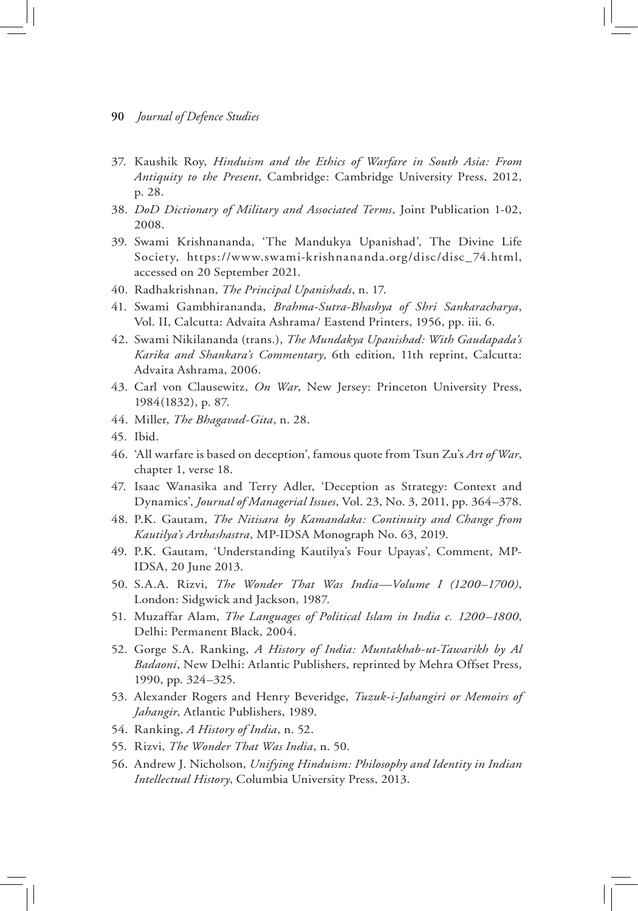- 37. Kaushik Roy, *Hinduism and the Ethics of Warfare in South Asia: From Antiquity to the Present*, Cambridge: Cambridge University Press, 2012, p. 28.
- 38. *DoD Dictionary of Military and Associated Terms*, Joint Publication 1-02, 2008.
- 39. Swami Krishnananda, 'The Mandukya Upanishad', The Divine Life Society, https://www.swami-krishnananda.org/disc/disc\_74.html, accessed on 20 September 2021.
- 40. Radhakrishnan, *The Principal Upanishads*, n. 17.
- 41. Swami Gambhirananda, *Brahma-Sutra-Bhashya of Shri Sankaracharya*, Vol. II, Calcutta: Advaita Ashrama/ Eastend Printers, 1956, pp. iii. 6.
- 42. Swami Nikilananda (trans.), *The Mundakya Upanishad: With Gaudapada's Karika and Shankara's Commentary*, 6th edition, 11th reprint, Calcutta: Advaita Ashrama, 2006.
- 43. Carl von Clausewitz, *On War*, New Jersey: Princeton University Press, 1984(1832), p. 87.
- 44. Miller, *The Bhagavad-Gita*, n. 28.
- 45. Ibid.
- 46. 'All warfare is based on deception', famous quote from Tsun Zu's *Art of War*, chapter 1, verse 18.
- 47. Isaac Wanasika and Terry Adler, 'Deception as Strategy: Context and Dynamics', *Journal of Managerial Issues*, Vol. 23, No. 3, 2011, pp. 364–378.
- 48. P.K. Gautam, *The Nitisara by Kamandaka: Continuity and Change from Kautilya's Arthashastra*, MP-IDSA Monograph No. 63, 2019.
- 49. P.K. Gautam, 'Understanding Kautilya's Four Upayas', Comment, MP-IDSA, 20 June 2013.
- 50. S.A.A. Rizvi, *The Wonder That Was India—Volume I (1200–1700)*, London: Sidgwick and Jackson, 1987.
- 51. Muzaffar Alam, *The Languages of Political Islam in India c. 1200–1800*, Delhi: Permanent Black, 2004.
- 52. Gorge S.A. Ranking, *A History of India: Muntakhab-ut-Tawarikh by Al Badaoni*, New Delhi: Atlantic Publishers, reprinted by Mehra Offset Press, 1990, pp. 324–325.
- 53. Alexander Rogers and Henry Beveridge, *Tuzuk-i-Jahangiri or Memoirs of Jahangir*, Atlantic Publishers, 1989.
- 54. Ranking, *A History of India*, n. 52.
- 55. Rizvi, *The Wonder That Was India*, n. 50.
- 56. Andrew J. Nicholson, *Unifying Hinduism: Philosophy and Identity in Indian Intellectual History*, Columbia University Press, 2013.